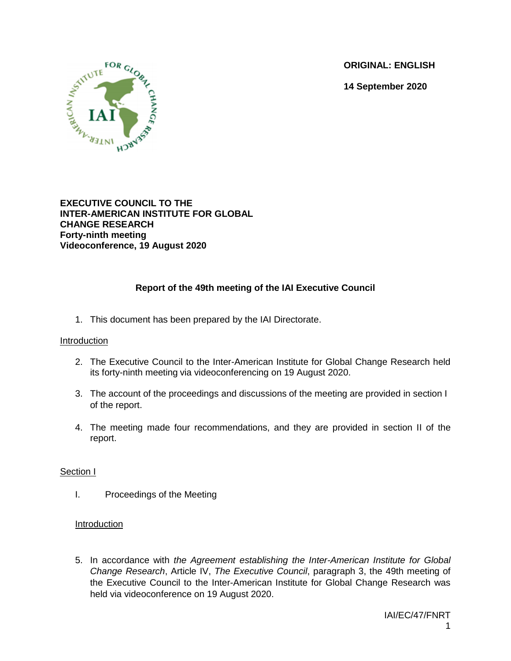**ORIGINAL: ENGLISH**

**14 September 2020**



**EXECUTIVE COUNCIL TO THE INTER-AMERICAN INSTITUTE FOR GLOBAL CHANGE RESEARCH Forty-ninth meeting Videoconference, 19 August 2020**

# **Report of the 49th meeting of the IAI Executive Council**

1. This document has been prepared by the IAI Directorate.

#### Introduction

- 2. The Executive Council to the Inter-American Institute for Global Change Research held its forty-ninth meeting via videoconferencing on 19 August 2020.
- 3. The account of the proceedings and discussions of the meeting are provided in section I of the report.
- 4. The meeting made four recommendations, and they are provided in section II of the report.

#### Section I

I. Proceedings of the Meeting

#### Introduction

5. In accordance with *the Agreement establishing the Inter-American Institute for Global Change Research*, Article IV, *The Executive Council*, paragraph 3, the 49th meeting of the Executive Council to the Inter-American Institute for Global Change Research was held via videoconference on 19 August 2020.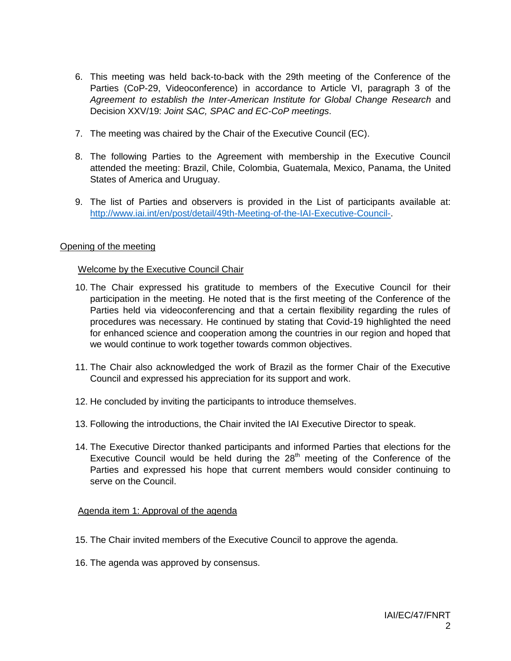- 6. This meeting was held back-to-back with the 29th meeting of the Conference of the Parties (CoP-29, Videoconference) in accordance to Article VI, paragraph 3 of the *Agreement to establish the Inter-American Institute for Global Change Research* and Decision XXV/19: *Joint SAC, SPAC and EC-CoP meetings*.
- 7. The meeting was chaired by the Chair of the Executive Council (EC).
- 8. The following Parties to the Agreement with membership in the Executive Council attended the meeting: Brazil, Chile, Colombia, Guatemala, Mexico, Panama, the United States of America and Uruguay.
- 9. The list of Parties and observers is provided in the List of participants available at: [http://www.iai.int/en/post/detail/49th-Meeting-of-the-IAI-Executive-Council-.](http://www.iai.int/en/post/detail/49th-Meeting-of-the-IAI-Executive-Council-)

#### Opening of the meeting

#### Welcome by the Executive Council Chair

- 10. The Chair expressed his gratitude to members of the Executive Council for their participation in the meeting. He noted that is the first meeting of the Conference of the Parties held via videoconferencing and that a certain flexibility regarding the rules of procedures was necessary. He continued by stating that Covid-19 highlighted the need for enhanced science and cooperation among the countries in our region and hoped that we would continue to work together towards common objectives.
- 11. The Chair also acknowledged the work of Brazil as the former Chair of the Executive Council and expressed his appreciation for its support and work.
- 12. He concluded by inviting the participants to introduce themselves.
- 13. Following the introductions, the Chair invited the IAI Executive Director to speak.
- 14. The Executive Director thanked participants and informed Parties that elections for the Executive Council would be held during the  $28<sup>th</sup>$  meeting of the Conference of the Parties and expressed his hope that current members would consider continuing to serve on the Council.

#### Agenda item 1: Approval of the agenda

- 15. The Chair invited members of the Executive Council to approve the agenda.
- 16. The agenda was approved by consensus.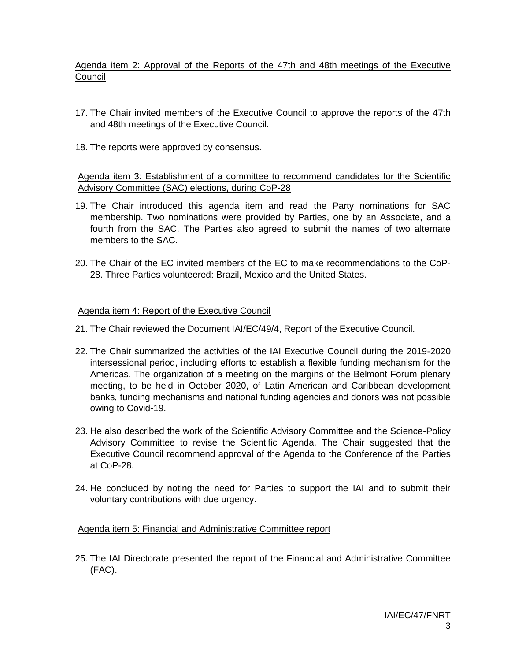Agenda item 2: Approval of the Reports of the 47th and 48th meetings of the Executive **Council** 

- 17. The Chair invited members of the Executive Council to approve the reports of the 47th and 48th meetings of the Executive Council.
- 18. The reports were approved by consensus.

### Agenda item 3: Establishment of a committee to recommend candidates for the Scientific Advisory Committee (SAC) elections, during CoP-28

- 19. The Chair introduced this agenda item and read the Party nominations for SAC membership. Two nominations were provided by Parties, one by an Associate, and a fourth from the SAC. The Parties also agreed to submit the names of two alternate members to the SAC.
- 20. The Chair of the EC invited members of the EC to make recommendations to the CoP-28. Three Parties volunteered: Brazil, Mexico and the United States.

#### Agenda item 4: Report of the Executive Council

- 21. The Chair reviewed the Document IAI/EC/49/4, Report of the Executive Council.
- 22. The Chair summarized the activities of the IAI Executive Council during the 2019-2020 intersessional period, including efforts to establish a flexible funding mechanism for the Americas. The organization of a meeting on the margins of the Belmont Forum plenary meeting, to be held in October 2020, of Latin American and Caribbean development banks, funding mechanisms and national funding agencies and donors was not possible owing to Covid-19.
- 23. He also described the work of the Scientific Advisory Committee and the Science-Policy Advisory Committee to revise the Scientific Agenda. The Chair suggested that the Executive Council recommend approval of the Agenda to the Conference of the Parties at CoP-28.
- 24. He concluded by noting the need for Parties to support the IAI and to submit their voluntary contributions with due urgency.

Agenda item 5: Financial and Administrative Committee report

25. The IAI Directorate presented the report of the Financial and Administrative Committee (FAC).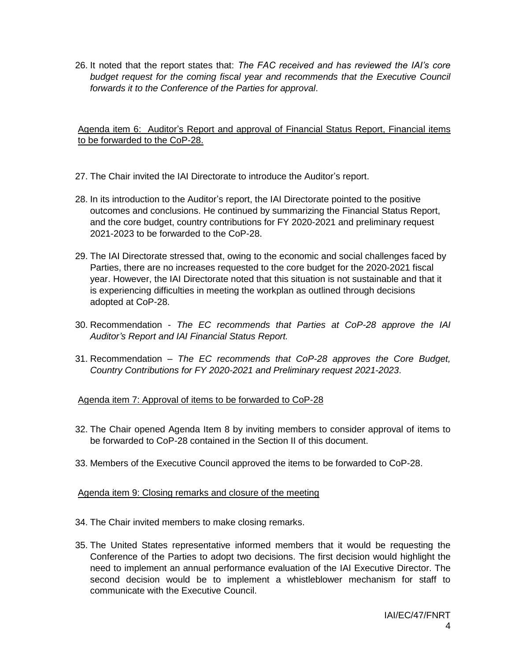26. It noted that the report states that: *The FAC received and has reviewed the IAI's core budget request for the coming fiscal year and recommends that the Executive Council forwards it to the Conference of the Parties for approval*.

Agenda item 6: Auditor's Report and approval of Financial Status Report, Financial items to be forwarded to the CoP-28.

- 27. The Chair invited the IAI Directorate to introduce the Auditor's report.
- 28. In its introduction to the Auditor's report, the IAI Directorate pointed to the positive outcomes and conclusions. He continued by summarizing the Financial Status Report, and the core budget, country contributions for FY 2020-2021 and preliminary request 2021-2023 to be forwarded to the CoP-28.
- 29. The IAI Directorate stressed that, owing to the economic and social challenges faced by Parties, there are no increases requested to the core budget for the 2020-2021 fiscal year. However, the IAI Directorate noted that this situation is not sustainable and that it is experiencing difficulties in meeting the workplan as outlined through decisions adopted at CoP-28.
- 30. Recommendation *The EC recommends that Parties at CoP-28 approve the IAI Auditor's Report and IAI Financial Status Report.*
- 31. Recommendation *The EC recommends that CoP-28 approves the Core Budget, Country Contributions for FY 2020-2021 and Preliminary request 2021-2023*.

Agenda item 7: Approval of items to be forwarded to CoP-28

- 32. The Chair opened Agenda Item 8 by inviting members to consider approval of items to be forwarded to CoP-28 contained in the Section II of this document.
- 33. Members of the Executive Council approved the items to be forwarded to CoP-28.

Agenda item 9: Closing remarks and closure of the meeting

- 34. The Chair invited members to make closing remarks.
- 35. The United States representative informed members that it would be requesting the Conference of the Parties to adopt two decisions. The first decision would highlight the need to implement an annual performance evaluation of the IAI Executive Director. The second decision would be to implement a whistleblower mechanism for staff to communicate with the Executive Council.